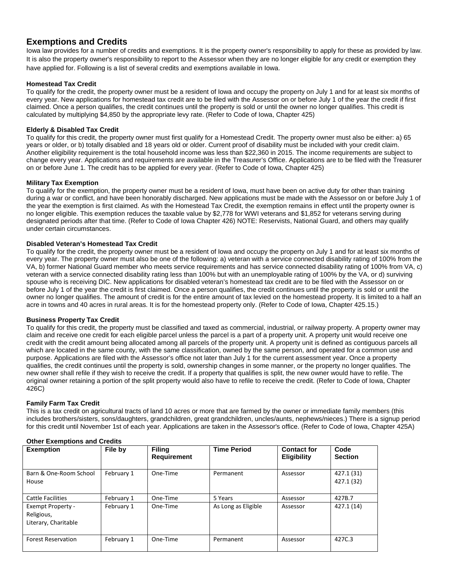# **Exemptions and Credits**

Iowa law provides for a number of credits and exemptions. It is the property owner's responsibility to apply for these as provided by law. It is also the property owner's responsibility to report to the Assessor when they are no longer eligible for any credit or exemption they have applied for. Following is a list of several credits and exemptions available in Iowa.

## **Homestead Tax Credit**

To qualify for the credit, the property owner must be a resident of Iowa and occupy the property on July 1 and for at least six months of every year. New applications for homestead tax credit are to be filed with the Assessor on or before July 1 of the year the credit if first claimed. Once a person qualifies, the credit continues until the property is sold or until the owner no longer qualifies. This credit is calculated by multiplying \$4,850 by the appropriate levy rate. (Refer to Code of Iowa, Chapter 425)

## **Elderly & Disabled Tax Credit**

To qualify for this credit, the property owner must first qualify for a Homestead Credit. The property owner must also be either: a) 65 years or older, or b) totally disabled and 18 years old or older. Current proof of disability must be included with your credit claim. Another eligibility requirement is the total household income was less than \$22,360 in 2015. The income requirements are subject to change every year. Applications and requirements are available in the Treasurer's Office. Applications are to be filed with the Treasurer on or before June 1. The credit has to be applied for every year. (Refer to Code of Iowa, Chapter 425)

#### **Military Tax Exemption**

To qualify for the exemption, the property owner must be a resident of Iowa, must have been on active duty for other than training during a war or conflict, and have been honorably discharged. New applications must be made with the Assessor on or before July 1 of the year the exemption is first claimed. As with the Homestead Tax Credit, the exemption remains in effect until the property owner is no longer eligible. This exemption reduces the taxable value by \$2,778 for WWI veterans and \$1,852 for veterans serving during designated periods after that time. (Refer to Code of Iowa Chapter 426) NOTE: Reservists, National Guard, and others may qualify under certain circumstances.

### **Disabled Veteran's Homestead Tax Credit**

To qualify for the credit, the property owner must be a resident of Iowa and occupy the property on July 1 and for at least six months of every year. The property owner must also be one of the following: a) veteran with a service connected disability rating of 100% from the VA, b) former National Guard member who meets service requirements and has service connected disability rating of 100% from VA, c) veteran with a service connected disability rating less than 100% but with an unemployable rating of 100% by the VA, or d) surviving spouse who is receiving DIC. New applications for disabled veteran's homestead tax credit are to be filed with the Assessor on or before July 1 of the year the credit is first claimed. Once a person qualifies, the credit continues until the property is sold or until the owner no longer qualifies. The amount of credit is for the entire amount of tax levied on the homestead property. It is limited to a half an acre in towns and 40 acres in rural areas. It is for the homestead property only. (Refer to Code of Iowa, Chapter 425.15.)

## **Business Property Tax Credit**

To qualify for this credit, the property must be classified and taxed as commercial, industrial, or railway property. A property owner may claim and receive one credit for each eligible parcel unless the parcel is a part of a property unit. A property unit would receive one credit with the credit amount being allocated among all parcels of the property unit. A property unit is defined as contiguous parcels all which are located in the same county, with the same classification, owned by the same person, and operated for a common use and purpose. Applications are filed with the Assessor's office not later than July 1 for the current assessment year. Once a property qualifies, the credit continues until the property is sold, ownership changes in some manner, or the property no longer qualifies. The new owner shall refile if they wish to receive the credit. If a property that qualifies is split, the new owner would have to refile. The original owner retaining a portion of the split property would also have to refile to receive the credit. (Refer to Code of Iowa, Chapter 426C)

#### **Family Farm Tax Credit**

This is a tax credit on agricultural tracts of land 10 acres or more that are farmed by the owner or immediate family members (this includes brothers/sisters, sons/daughters, grandchildren, great grandchildren, uncles/aunts, nephews/nieces.) There is a signup period for this credit until November 1st of each year. Applications are taken in the Assessor's office. (Refer to Code of Iowa, Chapter 425A)

| <b>Exemption</b>                                               | File by    | <b>Filing</b><br><b>Requirement</b> | <b>Time Period</b>  | <b>Contact for</b><br><b>Eligibility</b> | Code<br><b>Section</b>   |
|----------------------------------------------------------------|------------|-------------------------------------|---------------------|------------------------------------------|--------------------------|
| Barn & One-Room School<br>House                                | February 1 | One-Time                            | Permanent           | Assessor                                 | 427.1 (31)<br>427.1 (32) |
| <b>Cattle Facilities</b>                                       | February 1 | One-Time                            | 5 Years             | Assessor                                 | 427B.7                   |
| <b>Exempt Property -</b><br>Religious,<br>Literary, Charitable | February 1 | One-Time                            | As Long as Eligible | Assessor                                 | 427.1 (14)               |
| <b>Forest Reservation</b>                                      | February 1 | One-Time                            | Permanent           | Assessor                                 | 427C.3                   |

#### **Other Exemptions and Credits**